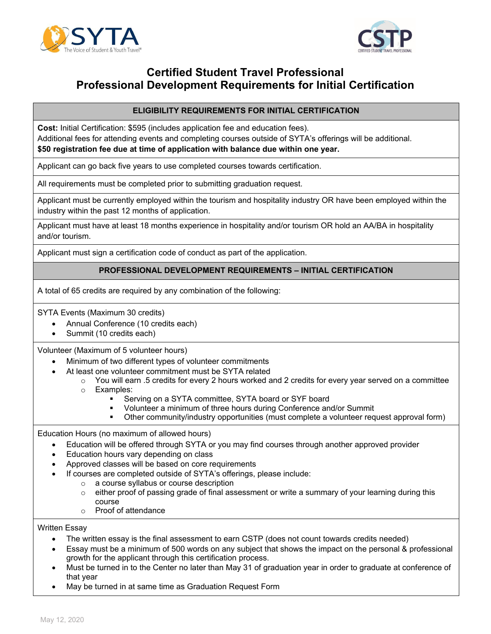



# **Certified Student Travel Professional Professional Development Requirements for Initial Certification**

#### **ELIGIBILITY REQUIREMENTS FOR INITIAL CERTIFICATION**

**Cost:** Initial Certification: \$595 (includes application fee and education fees). Additional fees for attending events and completing courses outside of SYTA's offerings will be additional. **\$50 registration fee due at time of application with balance due within one year.** 

Applicant can go back five years to use completed courses towards certification.

All requirements must be completed prior to submitting graduation request.

Applicant must be currently employed within the tourism and hospitality industry OR have been employed within the industry within the past 12 months of application.

Applicant must have at least 18 months experience in hospitality and/or tourism OR hold an AA/BA in hospitality and/or tourism.

Applicant must sign a certification code of conduct as part of the application.

#### **PROFESSIONAL DEVELOPMENT REQUIREMENTS – INITIAL CERTIFICATION**

A total of 65 credits are required by any combination of the following:

SYTA Events (Maximum 30 credits)

- Annual Conference (10 credits each)
- Summit (10 credits each)

Volunteer (Maximum of 5 volunteer hours)

- Minimum of two different types of volunteer commitments
- At least one volunteer commitment must be SYTA related
	- $\circ$  You will earn .5 credits for every 2 hours worked and 2 credits for every year served on a committee
	- o Examples:
		- Serving on a SYTA committee, SYTA board or SYF board
		- Volunteer a minimum of three hours during Conference and/or Summit
		- Other community/industry opportunities (must complete a volunteer request approval form)

Education Hours (no maximum of allowed hours)

- Education will be offered through SYTA or you may find courses through another approved provider
- Education hours vary depending on class
- Approved classes will be based on core requirements
	- If courses are completed outside of SYTA's offerings, please include:
		- o a course syllabus or course description
			- $\circ$  either proof of passing grade of final assessment or write a summary of your learning during this course
			- o Proof of attendance

Written Essay

- The written essay is the final assessment to earn CSTP (does not count towards credits needed)
- Essay must be a minimum of 500 words on any subject that shows the impact on the personal & professional growth for the applicant through this certification process.
- Must be turned in to the Center no later than May 31 of graduation year in order to graduate at conference of that year
- May be turned in at same time as Graduation Request Form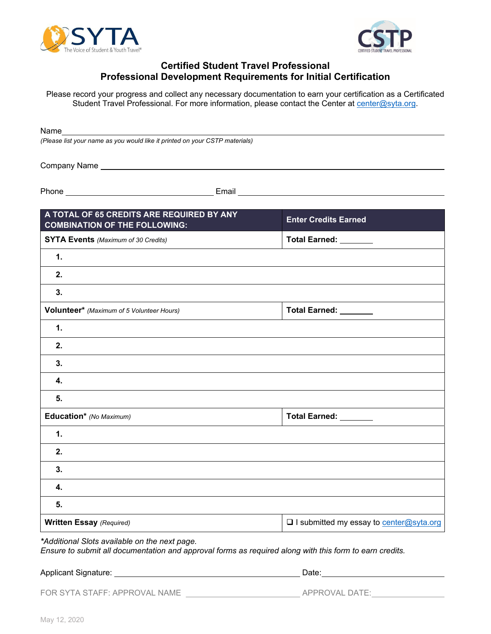



## **Certified Student Travel Professional Professional Development Requirements for Initial Certification**

Please record your progress and collect any necessary documentation to earn your certification as a Certificated Student Travel Professional. For more information, please contact the Center at center@syta.org.

Name

*(Please list your name as you would like it printed on your CSTP materials)*

Company Name

Phone **Email** 

| A TOTAL OF 65 CREDITS ARE REQUIRED BY ANY<br><b>COMBINATION OF THE FOLLOWING:</b> | <b>Enter Credits Earned</b>               |
|-----------------------------------------------------------------------------------|-------------------------------------------|
| <b>SYTA Events</b> (Maximum of 30 Credits)                                        | Total Earned: _______                     |
| 1.                                                                                |                                           |
| 2.                                                                                |                                           |
| 3.                                                                                |                                           |
| Volunteer* (Maximum of 5 Volunteer Hours)                                         | Total Earned: _______                     |
| 1.                                                                                |                                           |
| 2.                                                                                |                                           |
| 3.                                                                                |                                           |
| 4.                                                                                |                                           |
| 5.                                                                                |                                           |
| Education* (No Maximum)                                                           | Total Earned: _______                     |
| 1.                                                                                |                                           |
| 2.                                                                                |                                           |
| 3.                                                                                |                                           |
| 4.                                                                                |                                           |
| 5.                                                                                |                                           |
| <b>Written Essay (Required)</b>                                                   | □ I submitted my essay to center@syta.org |

*Ensure to submit all documentation and approval forms as required along with this form to earn credits.* 

Applicant Signature: <u>Date: Date: Date: Date: Date: Date: Date: Date: Date: Date: Date: Date: Date: Date: Date: Date: Date: Date: Date: Date: Date: Date: Date: Date: Date: Date: Date: Date: Date: Date: Date: Date: Date: Da</u>

FOR SYTA STAFF: APPROVAL NAME APPROVAL DATE: